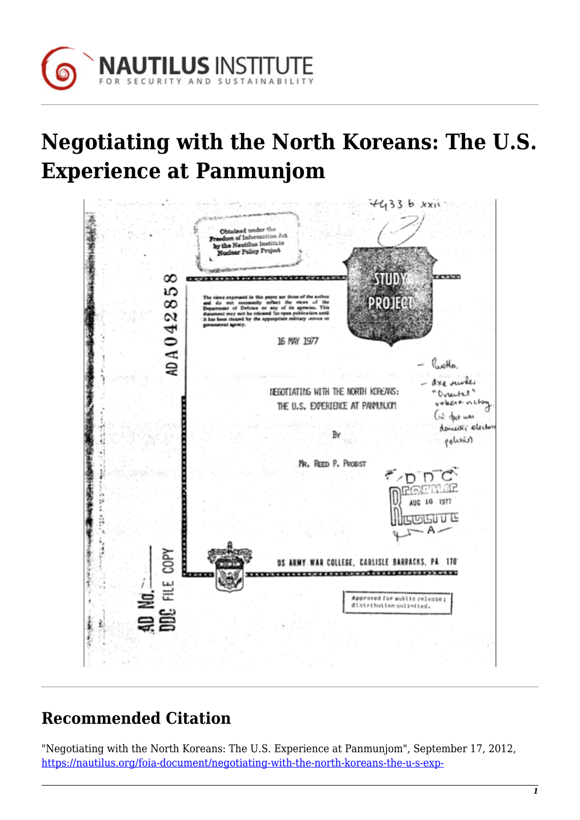

## **Negotiating with the North Koreans: The U.S. Experience at Panmunjom**



## **Recommended Citation**

"Negotiating with the North Koreans: The U.S. Experience at Panmunjom", September 17, 2012, [https://nautilus.org/foia-document/negotiating-with-the-north-koreans-the-u-s-exp-](https://nautilus.org/foia-document/negotiating-with-the-north-koreans-the-u-s-experience-at-panmunjom/)